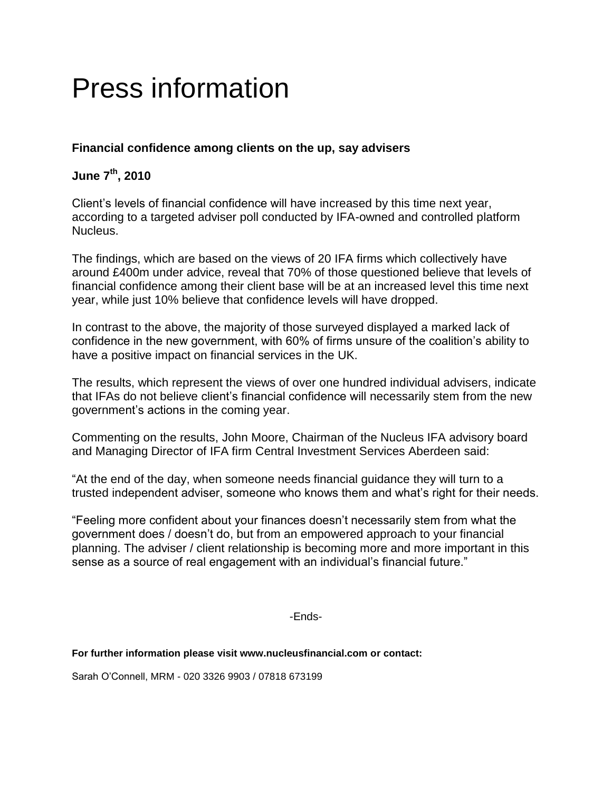# Press information

# **Financial confidence among clients on the up, say advisers**

## **June 7 th, 2010**

Client"s levels of financial confidence will have increased by this time next year, according to a targeted adviser poll conducted by IFA-owned and controlled platform Nucleus.

The findings, which are based on the views of 20 IFA firms which collectively have around £400m under advice, reveal that 70% of those questioned believe that levels of financial confidence among their client base will be at an increased level this time next year, while just 10% believe that confidence levels will have dropped.

In contrast to the above, the majority of those surveyed displayed a marked lack of confidence in the new government, with 60% of firms unsure of the coalition"s ability to have a positive impact on financial services in the UK.

The results, which represent the views of over one hundred individual advisers, indicate that IFAs do not believe client"s financial confidence will necessarily stem from the new government"s actions in the coming year.

Commenting on the results, John Moore, Chairman of the Nucleus IFA advisory board and Managing Director of IFA firm Central Investment Services Aberdeen said:

"At the end of the day, when someone needs financial guidance they will turn to a trusted independent adviser, someone who knows them and what"s right for their needs.

"Feeling more confident about your finances doesn"t necessarily stem from what the government does / doesn"t do, but from an empowered approach to your financial planning. The adviser / client relationship is becoming more and more important in this sense as a source of real engagement with an individual's financial future."

-Ends-

## **For further information please visit www.nucleusfinancial.com or contact:**

Sarah O"Connell, MRM - 020 3326 9903 / 07818 673199